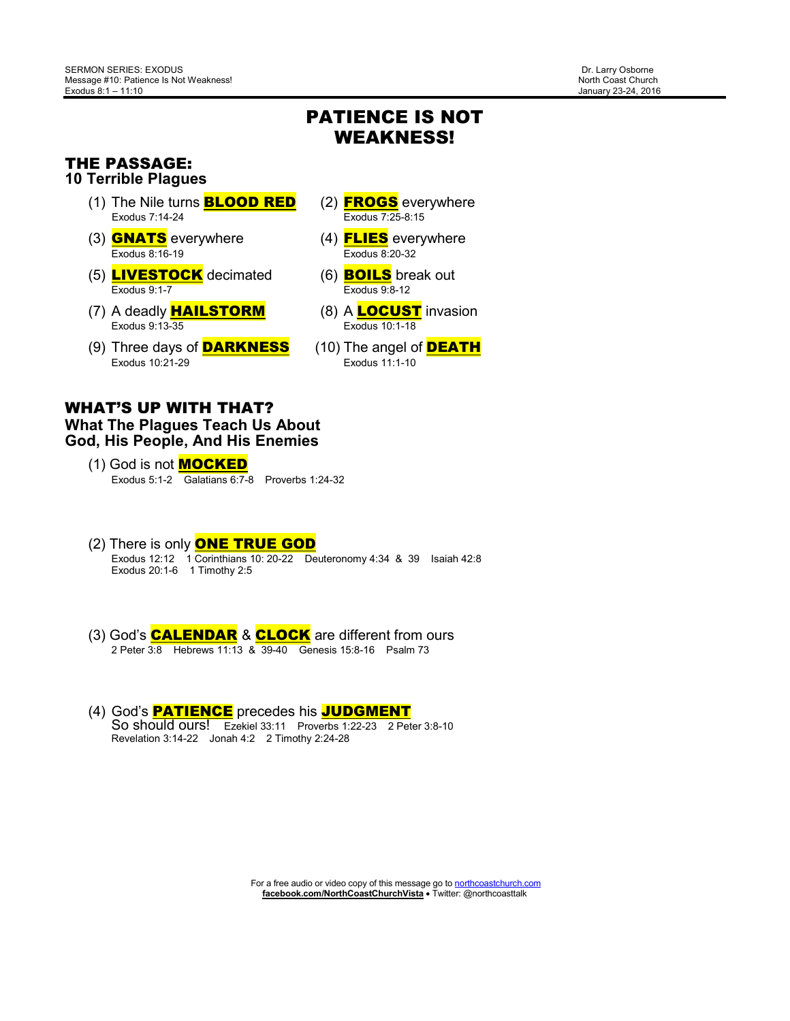## PATIENCE IS NOT WEAKNESS!

#### THE PASSAGE: **10 Terrible Plagues**

- (1) The Nile turns **BLOOD RED** (2) **FROGS** everywhere Exodus 7:14-24 Exodus 7:25-8:15
- (3) **GNATS** everywhere  $\frac{1}{2}$  (4) **FLIES** everywhere Exodus 8:16-19
- (5)  $\frac{\text{LIVESTOCK}}{\text{Exodus 9:1-7}}$  decimated (6) **BOILS** break out
- (7) A deadly **HAILSTORM** (8) A **LOCUST** invasion<br>Exodus 9:13-35 Exodus 10:1-18
- (9) Three days of **DARKNESS** (10) The angel of **DEATH**<br>Exodus 10:21-29 Exodus 11:1-10 Exodus 10:21-29
- 
- 
- $Exodus 9:8-12$
- Exodus 10:1-18
- 

#### WHAT'S UP WITH THAT? **What The Plagues Teach Us About God, His People, And His Enemies**

- (1) God is not **MOCKED** Exodus 5:1-2 Galatians 6:7-8 Proverbs 1:24-32
- (2) There is only ONE TRUE GOD Exodus 12:12 1 Corinthians 10: 20-22 Deuteronomy 4:34 & 39 Isaiah 42:8 Exodus 20:1-6 1 Timothy 2:5
	- (3) God's CALENDAR & CLOCK are different from ours 2 Peter 3:8 Hebrews 11:13 & 39-40 Genesis 15:8-16 Psalm 73
	- (4) God's PATIENCE precedes his JUDGMENT So should ours! Ezekiel 33:11 Proverbs 1:22-23 2 Peter 3:8-10 Revelation 3:14-22 Jonah 4:2 2 Timothy 2:24-28

For a free audio or video copy of this message go to northcoastchurch.com **facebook.com/NorthCoastChurchVista** • Twitter: @northcoasttalk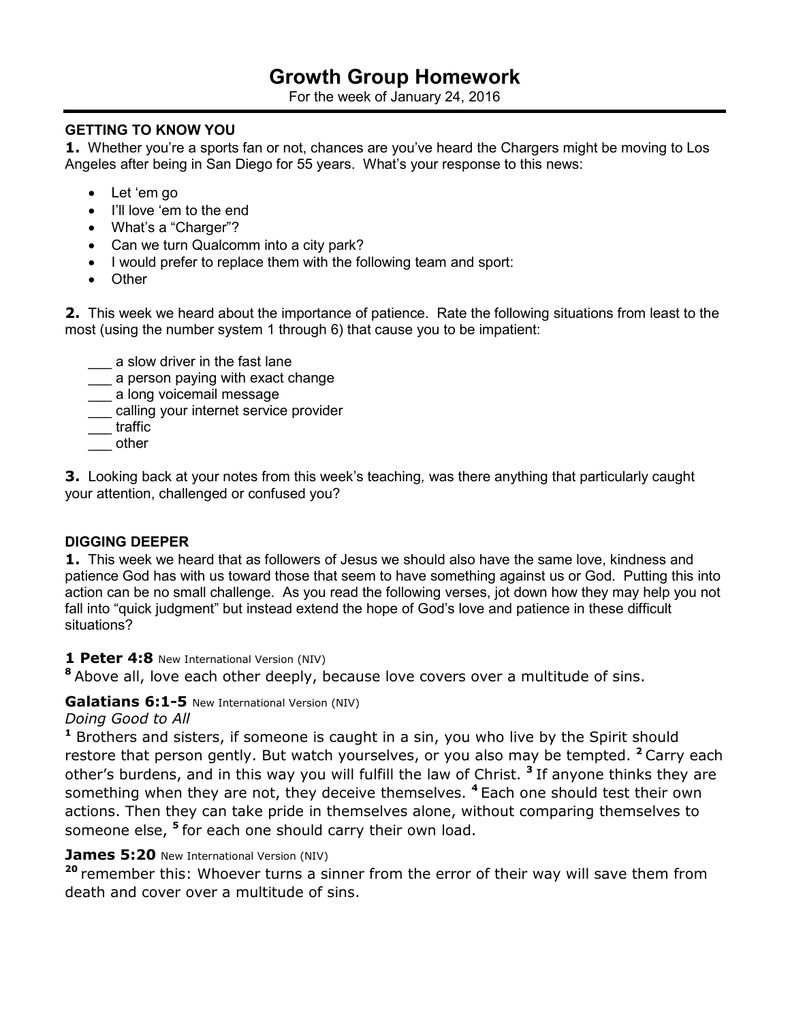# **Growth Group Homework**

For the week of January 24, 2016

#### **GETTING TO KNOW YOU**

**1.** Whether you're a sports fan or not, chances are you've heard the Chargers might be moving to Los Angeles after being in San Diego for 55 years. What's your response to this news:

- Let 'em go
- I'll love 'em to the end
- What's a "Charger"?
- Can we turn Qualcomm into a city park?
- I would prefer to replace them with the following team and sport:
- Other

**2.** This week we heard about the importance of patience. Rate the following situations from least to the most (using the number system 1 through 6) that cause you to be impatient:

- a slow driver in the fast lane
- \_\_\_ a person paying with exact change
- \_\_\_ a long voicemail message
- \_\_\_ calling your internet service provider
- \_\_\_ traffic
- \_\_\_ other

**3.** Looking back at your notes from this week's teaching*,* was there anything that particularly caught your attention, challenged or confused you?

#### **DIGGING DEEPER**

**1.** This week we heard that as followers of Jesus we should also have the same love, kindness and patience God has with us toward those that seem to have something against us or God. Putting this into action can be no small challenge. As you read the following verses, jot down how they may help you not fall into "quick judgment" but instead extend the hope of God's love and patience in these difficult situations?

#### **1 Peter 4:8** New International Version (NIV)

**<sup>8</sup>**Above all, love each other deeply, because love covers over a multitude of sins.

### **Galatians 6:1-5** New International Version (NIV)

*Doing Good to All* 

**<sup>1</sup>** Brothers and sisters, if someone is caught in a sin, you who live by the Spirit should restore that person gently. But watch yourselves, or you also may be tempted. **<sup>2</sup>**Carry each other's burdens, and in this way you will fulfill the law of Christ. **<sup>3</sup>**If anyone thinks they are something when they are not, they deceive themselves. **<sup>4</sup>**Each one should test their own actions. Then they can take pride in themselves alone, without comparing themselves to someone else, **<sup>5</sup>**for each one should carry their own load.

#### **James 5:20** New International Version (NIV)

**<sup>20</sup>**remember this: Whoever turns a sinner from the error of their way will save them from death and cover over a multitude of sins.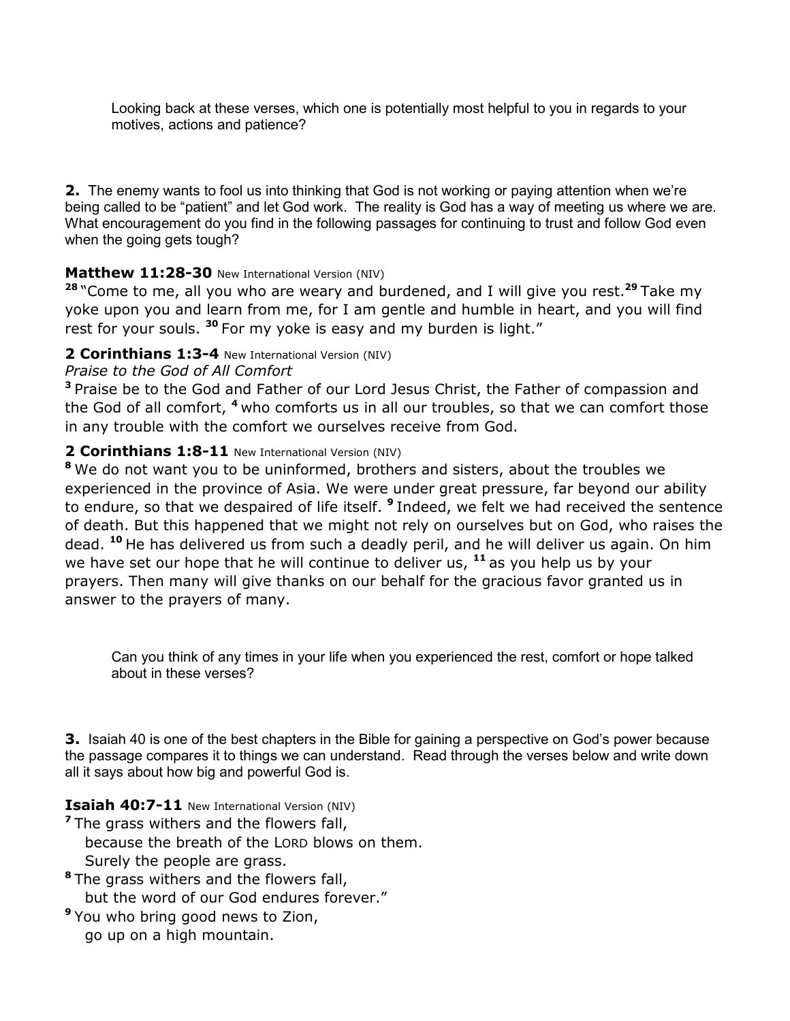Looking back at these verses, which one is potentially most helpful to you in regards to your motives, actions and patience?

**2.** The enemy wants to fool us into thinking that God is not working or paying attention when we're being called to be "patient" and let God work. The reality is God has a way of meeting us where we are. What encouragement do you find in the following passages for continuing to trust and follow God even when the going gets tough?

#### **Matthew 11:28-30** New International Version (NIV)

**<sup>28</sup>**"Come to me, all you who are weary and burdened, and I will give you rest.**<sup>29</sup>**Take my yoke upon you and learn from me, for I am gentle and humble in heart, and you will find rest for your souls.<sup>30</sup> For my yoke is easy and my burden is light."

## **2 Corinthians 1:3-4** New International Version (NIV)

#### *Praise to the God of All Comfort*

**<sup>3</sup>**Praise be to the God and Father of our Lord Jesus Christ, the Father of compassion and the God of all comfort, **<sup>4</sup>**who comforts us in all our troubles, so that we can comfort those in any trouble with the comfort we ourselves receive from God.

#### **2 Corinthians 1:8-11** New International Version (NIV)

**<sup>8</sup>**We do not want you to be uninformed, brothers and sisters, about the troubles we experienced in the province of Asia. We were under great pressure, far beyond our ability to endure, so that we despaired of life itself. **<sup>9</sup>**Indeed, we felt we had received the sentence of death. But this happened that we might not rely on ourselves but on God, who raises the dead. **<sup>10</sup>**He has delivered us from such a deadly peril, and he will deliver us again. On him we have set our hope that he will continue to deliver us, **<sup>11</sup>**as you help us by your prayers. Then many will give thanks on our behalf for the gracious favor granted us in answer to the prayers of many.

Can you think of any times in your life when you experienced the rest, comfort or hope talked about in these verses?

**3.** Isaiah 40 is one of the best chapters in the Bible for gaining a perspective on God's power because the passage compares it to things we can understand. Read through the verses below and write down all it says about how big and powerful God is.

#### **Isaiah 40:7-11** New International Version (NIV)

<sup>7</sup>The grass withers and the flowers fall, because the breath of the LORD blows on them. Surely the people are grass.

- **<sup>8</sup>**The grass withers and the flowers fall, but the word of our God endures forever."
- **<sup>9</sup>**You who bring good news to Zion, go up on a high mountain.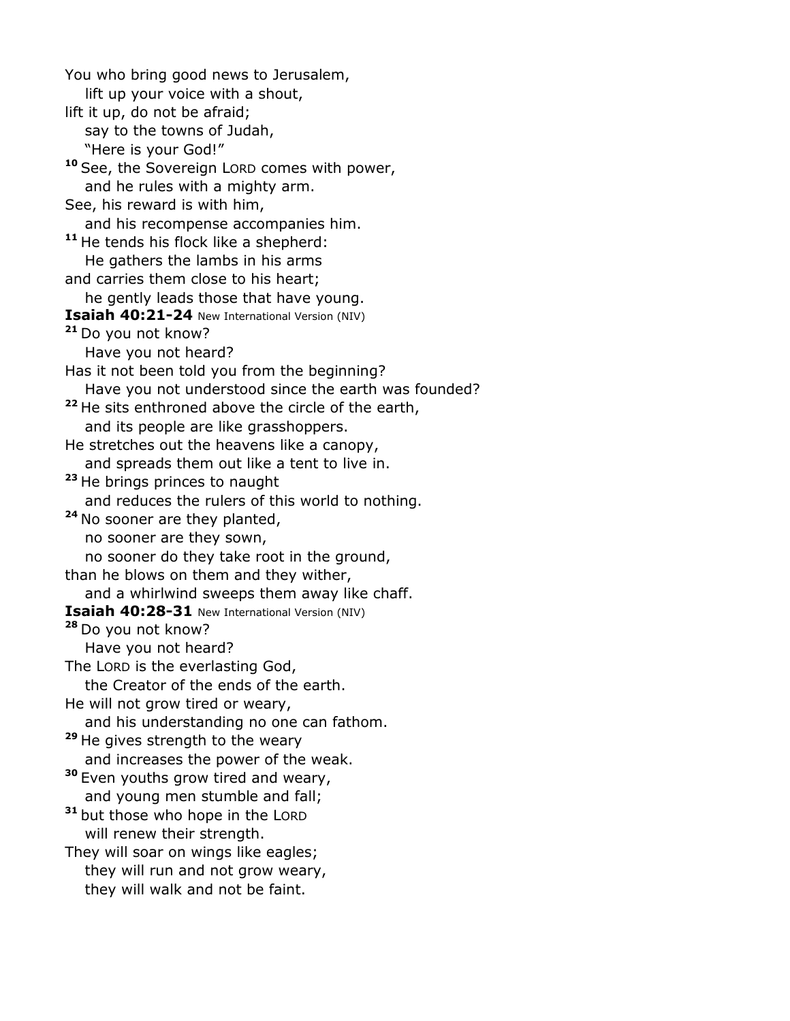You who bring good news to Jerusalem, lift up your voice with a shout, lift it up, do not be afraid; say to the towns of Judah, "Here is your God!" **<sup>10</sup>**See, the Sovereign LORD comes with power, and he rules with a mighty arm. See, his reward is with him, and his recompense accompanies him. **<sup>11</sup>**He tends his flock like a shepherd: He gathers the lambs in his arms and carries them close to his heart; he gently leads those that have young. **Isaiah 40:21-24** New International Version (NIV) **<sup>21</sup>**Do you not know? Have you not heard? Has it not been told you from the beginning? Have you not understood since the earth was founded? **<sup>22</sup>**He sits enthroned above the circle of the earth, and its people are like grasshoppers. He stretches out the heavens like a canopy, and spreads them out like a tent to live in. **<sup>23</sup>**He brings princes to naught and reduces the rulers of this world to nothing. **<sup>24</sup>**No sooner are they planted, no sooner are they sown, no sooner do they take root in the ground, than he blows on them and they wither, and a whirlwind sweeps them away like chaff. **Isaiah 40:28-31** New International Version (NIV) **<sup>28</sup>**Do you not know? Have you not heard? The LORD is the everlasting God, the Creator of the ends of the earth. He will not grow tired or weary, and his understanding no one can fathom. **<sup>29</sup>**He gives strength to the weary and increases the power of the weak. **<sup>30</sup>**Even youths grow tired and weary, and young men stumble and fall; <sup>31</sup> but those who hope in the LORD will renew their strength. They will soar on wings like eagles; they will run and not grow weary, they will walk and not be faint.